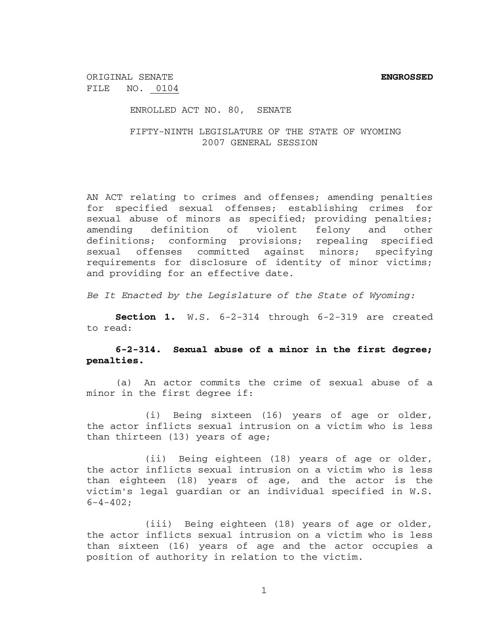ORIGINAL SENATE **ENGROSSED** FILE NO. 0104

ENROLLED ACT NO. 80, SENATE

FIFTY-NINTH LEGISLATURE OF THE STATE OF WYOMING 2007 GENERAL SESSION

AN ACT relating to crimes and offenses; amending penalties for specified sexual offenses; establishing crimes for sexual abuse of minors as specified; providing penalties; amending definition of violent felony and other definitions; conforming provisions; repealing specified sexual offenses committed against minors; specifying requirements for disclosure of identity of minor victims; and providing for an effective date.

*Be It Enacted by the Legislature of the State of Wyoming:*

**Section 1.** W.S. 6-2-314 through 6-2-319 are created to read:

# **6-2-314. Sexual abuse of a minor in the first degree; penalties.**

(a) An actor commits the crime of sexual abuse of a minor in the first degree if:

(i) Being sixteen (16) years of age or older, the actor inflicts sexual intrusion on a victim who is less than thirteen (13) years of age;

(ii) Being eighteen (18) years of age or older, the actor inflicts sexual intrusion on a victim who is less than eighteen (18) years of age, and the actor is the victim's legal guardian or an individual specified in W.S.  $6-4-402;$ 

(iii) Being eighteen (18) years of age or older, the actor inflicts sexual intrusion on a victim who is less than sixteen (16) years of age and the actor occupies a position of authority in relation to the victim.

1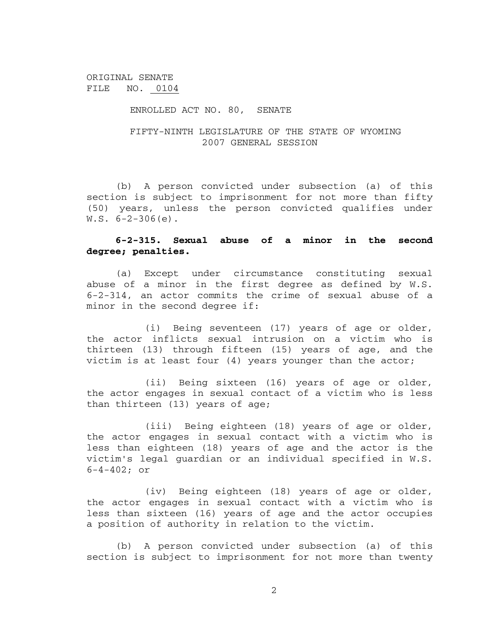#### ENROLLED ACT NO. 80, SENATE

## FIFTY-NINTH LEGISLATURE OF THE STATE OF WYOMING 2007 GENERAL SESSION

(b) A person convicted under subsection (a) of this section is subject to imprisonment for not more than fifty (50) years, unless the person convicted qualifies under  $W.S. 6-2-306(e)$ .

### **6-2-315. Sexual abuse of a minor in the second degree; penalties.**

(a) Except under circumstance constituting sexual abuse of a minor in the first degree as defined by W.S. 6-2-314, an actor commits the crime of sexual abuse of a minor in the second degree if:

(i) Being seventeen (17) years of age or older, the actor inflicts sexual intrusion on a victim who is thirteen (13) through fifteen (15) years of age, and the victim is at least four (4) years younger than the actor;

(ii) Being sixteen (16) years of age or older, the actor engages in sexual contact of a victim who is less than thirteen (13) years of age;

(iii) Being eighteen (18) years of age or older, the actor engages in sexual contact with a victim who is less than eighteen (18) years of age and the actor is the victim's legal guardian or an individual specified in W.S. 6-4-402; or

(iv) Being eighteen (18) years of age or older, the actor engages in sexual contact with a victim who is less than sixteen (16) years of age and the actor occupies a position of authority in relation to the victim.

(b) A person convicted under subsection (a) of this section is subject to imprisonment for not more than twenty

2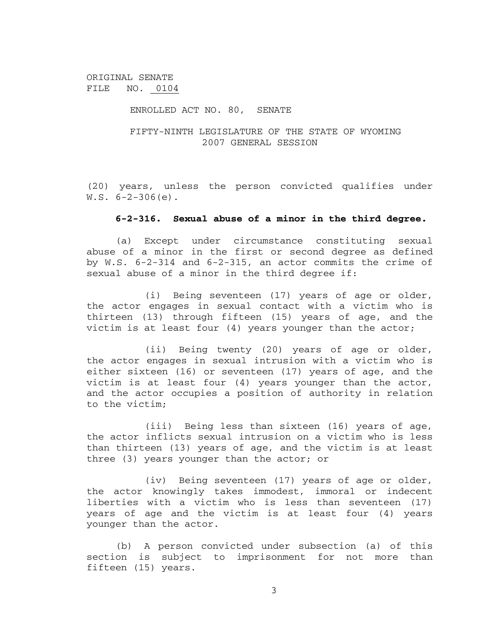### ENROLLED ACT NO. 80, SENATE

## FIFTY-NINTH LEGISLATURE OF THE STATE OF WYOMING 2007 GENERAL SESSION

(20) years, unless the person convicted qualifies under  $W.S. 6-2-306(e)$ .

#### **6-2-316. Sexual abuse of a minor in the third degree.**

(a) Except under circumstance constituting sexual abuse of a minor in the first or second degree as defined by W.S. 6-2-314 and 6-2-315, an actor commits the crime of sexual abuse of a minor in the third degree if:

(i) Being seventeen (17) years of age or older, the actor engages in sexual contact with a victim who is thirteen (13) through fifteen (15) years of age, and the victim is at least four (4) years younger than the actor;

(ii) Being twenty (20) years of age or older, the actor engages in sexual intrusion with a victim who is either sixteen (16) or seventeen (17) years of age, and the victim is at least four (4) years younger than the actor, and the actor occupies a position of authority in relation to the victim;

(iii) Being less than sixteen (16) years of age, the actor inflicts sexual intrusion on a victim who is less than thirteen (13) years of age, and the victim is at least three (3) years younger than the actor; or

(iv) Being seventeen (17) years of age or older, the actor knowingly takes immodest, immoral or indecent liberties with a victim who is less than seventeen (17) years of age and the victim is at least four (4) years younger than the actor.

(b) A person convicted under subsection (a) of this section is subject to imprisonment for not more than fifteen (15) years.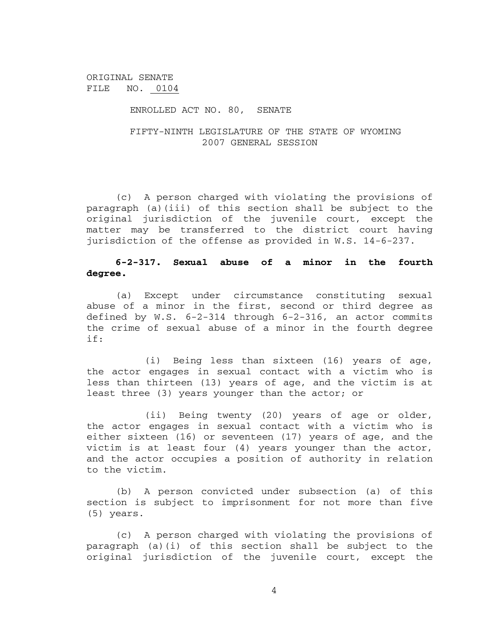#### ENROLLED ACT NO. 80, SENATE

### FIFTY-NINTH LEGISLATURE OF THE STATE OF WYOMING 2007 GENERAL SESSION

(c) A person charged with violating the provisions of paragraph (a)(iii) of this section shall be subject to the original jurisdiction of the juvenile court, except the matter may be transferred to the district court having jurisdiction of the offense as provided in W.S. 14-6-237.

# **6-2-317. Sexual abuse of a minor in the fourth degree.**

(a) Except under circumstance constituting sexual abuse of a minor in the first, second or third degree as defined by W.S. 6-2-314 through 6-2-316, an actor commits the crime of sexual abuse of a minor in the fourth degree if:

(i) Being less than sixteen (16) years of age, the actor engages in sexual contact with a victim who is less than thirteen (13) years of age, and the victim is at least three (3) years younger than the actor; or

(ii) Being twenty (20) years of age or older, the actor engages in sexual contact with a victim who is either sixteen (16) or seventeen (17) years of age, and the victim is at least four (4) years younger than the actor, and the actor occupies a position of authority in relation to the victim.

(b) A person convicted under subsection (a) of this section is subject to imprisonment for not more than five (5) years.

(c) A person charged with violating the provisions of paragraph (a)(i) of this section shall be subject to the original jurisdiction of the juvenile court, except the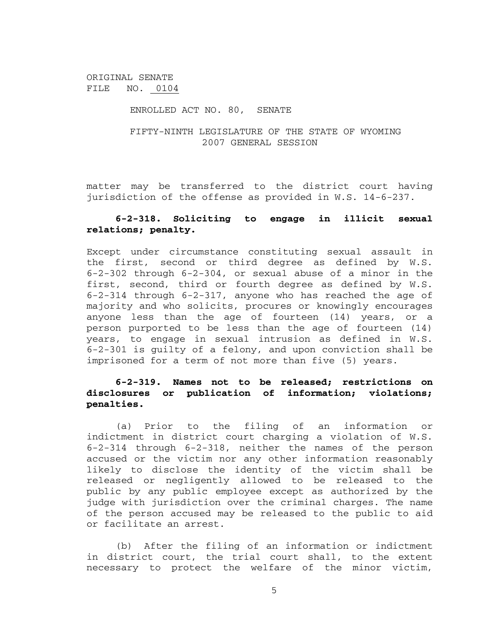#### ENROLLED ACT NO. 80, SENATE

### FIFTY-NINTH LEGISLATURE OF THE STATE OF WYOMING 2007 GENERAL SESSION

matter may be transferred to the district court having jurisdiction of the offense as provided in W.S. 14-6-237.

## **6-2-318. Soliciting to engage in illicit sexual relations; penalty.**

Except under circumstance constituting sexual assault in the first, second or third degree as defined by W.S. 6-2-302 through 6-2-304, or sexual abuse of a minor in the first, second, third or fourth degree as defined by W.S. 6-2-314 through 6-2-317, anyone who has reached the age of majority and who solicits, procures or knowingly encourages anyone less than the age of fourteen (14) years, or a person purported to be less than the age of fourteen (14) years, to engage in sexual intrusion as defined in W.S. 6-2-301 is guilty of a felony, and upon conviction shall be imprisoned for a term of not more than five (5) years.

# **6-2-319. Names not to be released; restrictions on disclosures or publication of information; violations; penalties.**

(a) Prior to the filing of an information or indictment in district court charging a violation of W.S. 6-2-314 through 6-2-318, neither the names of the person accused or the victim nor any other information reasonably likely to disclose the identity of the victim shall be released or negligently allowed to be released to the public by any public employee except as authorized by the judge with jurisdiction over the criminal charges. The name of the person accused may be released to the public to aid or facilitate an arrest.

(b) After the filing of an information or indictment in district court, the trial court shall, to the extent necessary to protect the welfare of the minor victim,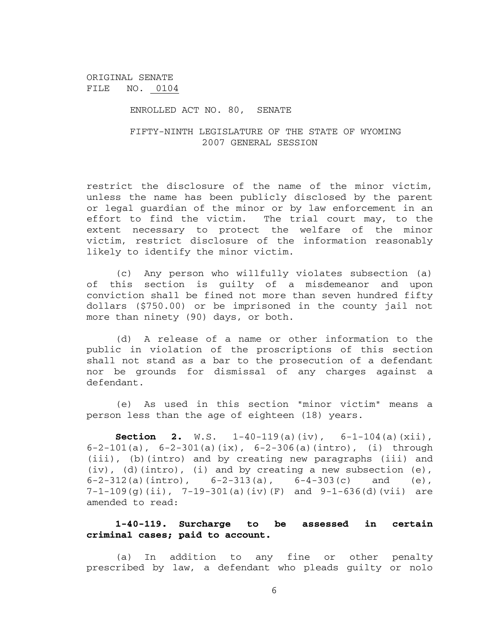#### ENROLLED ACT NO. 80, SENATE

## FIFTY-NINTH LEGISLATURE OF THE STATE OF WYOMING 2007 GENERAL SESSION

restrict the disclosure of the name of the minor victim, unless the name has been publicly disclosed by the parent or legal guardian of the minor or by law enforcement in an effort to find the victim. The trial court may, to the extent necessary to protect the welfare of the minor victim, restrict disclosure of the information reasonably likely to identify the minor victim.

(c) Any person who willfully violates subsection (a) of this section is guilty of a misdemeanor and upon conviction shall be fined not more than seven hundred fifty dollars (\$750.00) or be imprisoned in the county jail not more than ninety (90) days, or both.

(d) A release of a name or other information to the public in violation of the proscriptions of this section shall not stand as a bar to the prosecution of a defendant nor be grounds for dismissal of any charges against a defendant.

(e) As used in this section "minor victim" means a person less than the age of eighteen (18) years.

**Section 2.** W.S.  $1-40-119(a)(iv)$ ,  $6-1-104(a)(xii)$ , 6-2-101(a),  $6-2-301(a)(ix)$ ,  $6-2-306(a)(intro)$ , (i) through (iii), (b)(intro) and by creating new paragraphs (iii) and (iv), (d)(intro), (i) and by creating a new subsection (e), 6-2-312(a)(intro),  $6-2-313(a)$ ,  $6-4-303(c)$  and (e),  $7-1-109(g)$ (ii),  $7-19-301(a)$ (iv)(F) and  $9-1-636(d)$ (vii) are amended to read:

### **1-40-119. Surcharge to be assessed in certain criminal cases; paid to account.**

(a) In addition to any fine or other penalty prescribed by law, a defendant who pleads guilty or nolo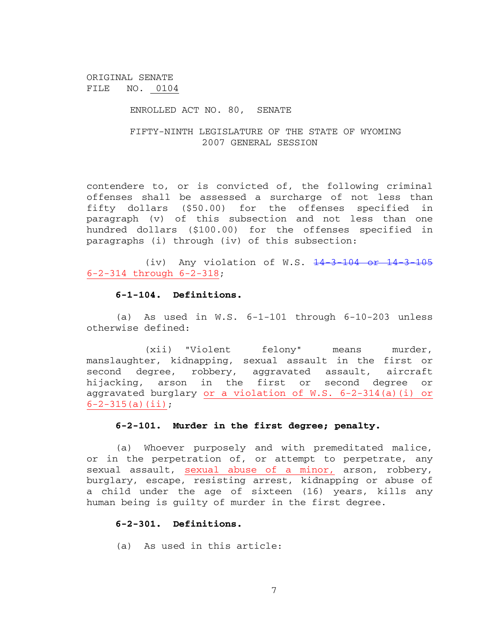#### ENROLLED ACT NO. 80, SENATE

## FIFTY-NINTH LEGISLATURE OF THE STATE OF WYOMING 2007 GENERAL SESSION

contendere to, or is convicted of, the following criminal offenses shall be assessed a surcharge of not less than fifty dollars (\$50.00) for the offenses specified in paragraph (v) of this subsection and not less than one hundred dollars (\$100.00) for the offenses specified in paragraphs (i) through (iv) of this subsection:

(iv) Any violation of W.S.  $14-3-104$  or  $14-3-105$ 6-2-314 through 6-2-318;

#### **6-1-104. Definitions.**

(a) As used in W.S. 6-1-101 through 6-10-203 unless otherwise defined:

(xii) "Violent felony" means murder, manslaughter, kidnapping, sexual assault in the first or second degree, robbery, aggravated assault, aircraft hijacking, arson in the first or second degree or aggravated burglary or a violation of W.S. 6-2-314(a)(i) or  $6-2-315(a)(ii);$ 

### **6-2-101. Murder in the first degree; penalty.**

(a) Whoever purposely and with premeditated malice, or in the perpetration of, or attempt to perpetrate, any sexual assault, sexual abuse of a minor, arson, robbery, burglary, escape, resisting arrest, kidnapping or abuse of a child under the age of sixteen (16) years, kills any human being is guilty of murder in the first degree.

#### **6-2-301. Definitions.**

(a) As used in this article: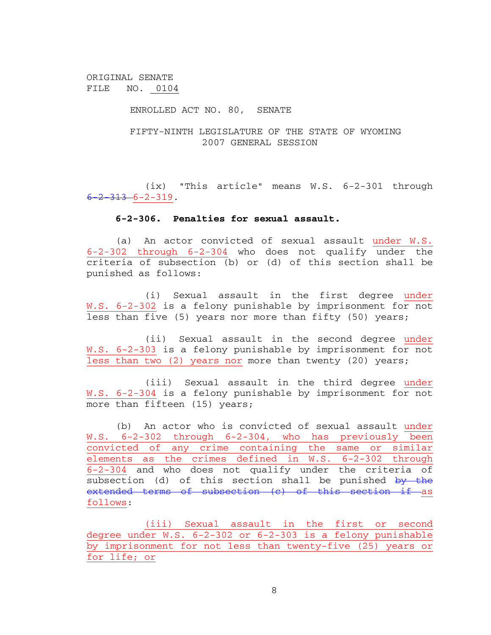#### ENROLLED ACT NO. 80, SENATE

## FIFTY-NINTH LEGISLATURE OF THE STATE OF WYOMING 2007 GENERAL SESSION

(ix) "This article" means W.S. 6-2-301 through  $6 - 2 - 313 - 6 - 2 - 319$ .

#### **6-2-306. Penalties for sexual assault.**

(a) An actor convicted of sexual assault under W.S. 6-2-302 through 6-2-304 who does not qualify under the criteria of subsection (b) or (d) of this section shall be punished as follows:

(i) Sexual assault in the first degree under W.S. 6-2-302 is a felony punishable by imprisonment for not less than five (5) years nor more than fifty (50) years;

(ii) Sexual assault in the second degree under W.S. 6-2-303 is a felony punishable by imprisonment for not less than two (2) years nor more than twenty (20) years;

(iii) Sexual assault in the third degree under W.S. 6-2-304 is a felony punishable by imprisonment for not more than fifteen (15) years;

(b) An actor who is convicted of sexual assault under W.S. 6-2-302 through 6-2-304, who has previously been convicted of any crime containing the same or similar elements as the crimes defined in W.S. 6-2-302 through 6-2-304 and who does not qualify under the criteria of subsection (d) of this section shall be punished by the extended terms of subsection (c) of this section if as follows:

(iii) Sexual assault in the first or second degree under W.S. 6-2-302 or 6-2-303 is a felony punishable by imprisonment for not less than twenty-five (25) years or for life; or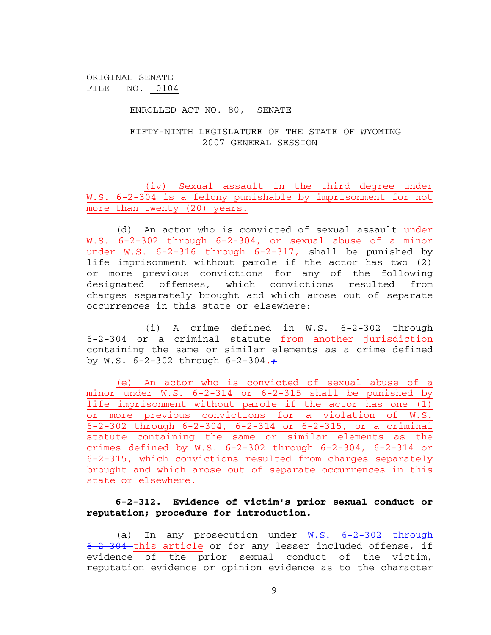ENROLLED ACT NO. 80, SENATE

FIFTY-NINTH LEGISLATURE OF THE STATE OF WYOMING 2007 GENERAL SESSION

(iv) Sexual assault in the third degree under W.S. 6-2-304 is a felony punishable by imprisonment for not more than twenty (20) years.

(d) An actor who is convicted of sexual assault under W.S. 6-2-302 through 6-2-304, or sexual abuse of a minor under W.S. 6-2-316 through 6-2-317, shall be punished by life imprisonment without parole if the actor has two (2) or more previous convictions for any of the following designated offenses, which convictions resulted from charges separately brought and which arose out of separate occurrences in this state or elsewhere:

(i) A crime defined in W.S. 6-2-302 through 6-2-304 or a criminal statute from another jurisdiction containing the same or similar elements as a crime defined by W.S.  $6-2-302$  through  $6-2-304.7$ 

(e) An actor who is convicted of sexual abuse of a minor under W.S. 6-2-314 or 6-2-315 shall be punished by life imprisonment without parole if the actor has one (1) or more previous convictions for a violation of W.S. 6-2-302 through 6-2-304, 6-2-314 or 6-2-315, or a criminal statute containing the same or similar elements as the crimes defined by W.S. 6-2-302 through 6-2-304, 6-2-314 or 6-2-315, which convictions resulted from charges separately brought and which arose out of separate occurrences in this state or elsewhere.

# **6-2-312. Evidence of victim's prior sexual conduct or reputation; procedure for introduction.**

(a) In any prosecution under  $W.S. 6-2-302$  through 6-2-304-this article or for any lesser included offense, if evidence of the prior sexual conduct of the victim, reputation evidence or opinion evidence as to the character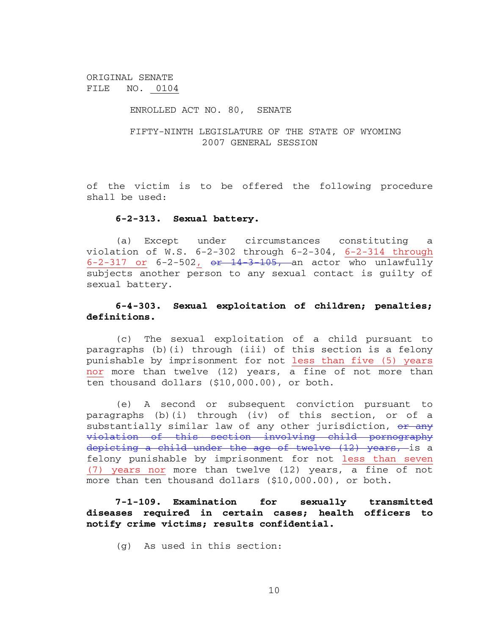#### ENROLLED ACT NO. 80, SENATE

## FIFTY-NINTH LEGISLATURE OF THE STATE OF WYOMING 2007 GENERAL SESSION

of the victim is to be offered the following procedure shall be used:

#### **6-2-313. Sexual battery.**

(a) Except under circumstances constituting a violation of W.S.  $6-2-302$  through  $6-2-304$ ,  $6-2-314$  through 6-2-317 or 6-2-502,  $e^{2} + 14 + 3 + 105$ , an actor who unlawfully subjects another person to any sexual contact is guilty of sexual battery.

## **6-4-303. Sexual exploitation of children; penalties; definitions.**

(c) The sexual exploitation of a child pursuant to paragraphs (b)(i) through (iii) of this section is a felony punishable by imprisonment for not less than five (5) years nor more than twelve (12) years, a fine of not more than ten thousand dollars (\$10,000.00), or both.

(e) A second or subsequent conviction pursuant to paragraphs (b)(i) through (iv) of this section, or of a substantially similar law of any other jurisdiction, or any violation of this section involving child pornography depicting a child under the age of twelve (12) years, is a felony punishable by imprisonment for not less than seven (7) years nor more than twelve (12) years, a fine of not more than ten thousand dollars (\$10,000.00), or both.

# **7-1-109. Examination for sexually transmitted diseases required in certain cases; health officers to notify crime victims; results confidential.**

(g) As used in this section: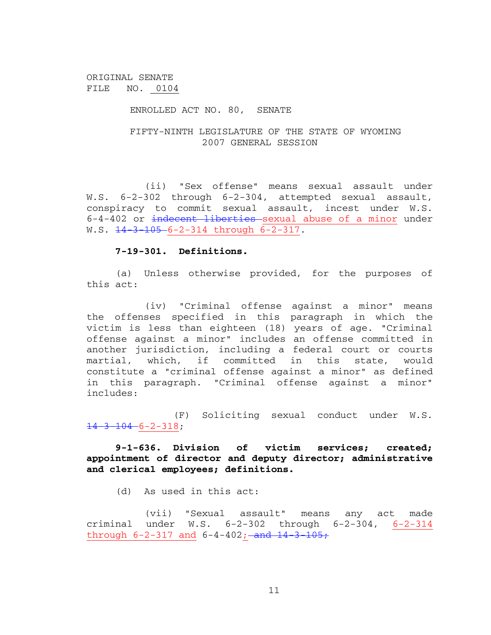### ENROLLED ACT NO. 80, SENATE

## FIFTY-NINTH LEGISLATURE OF THE STATE OF WYOMING 2007 GENERAL SESSION

(ii) "Sex offense" means sexual assault under W.S. 6-2-302 through 6-2-304, attempted sexual assault, conspiracy to commit sexual assault, incest under W.S. 6-4-402 or indecent liberties sexual abuse of a minor under W.S.  $\frac{14}{3}$   $\frac{105}{6}$ -2-314 through 6-2-317.

### **7-19-301. Definitions.**

(a) Unless otherwise provided, for the purposes of this act:

(iv) "Criminal offense against a minor" means the offenses specified in this paragraph in which the victim is less than eighteen (18) years of age. "Criminal offense against a minor" includes an offense committed in another jurisdiction, including a federal court or courts martial, which, if committed in this state, would constitute a "criminal offense against a minor" as defined in this paragraph. "Criminal offense against a minor" includes:

(F) Soliciting sexual conduct under W.S.  $14-3$   $104 - 6 - 2 - 318$ ;

# **9-1-636. Division of victim services; created; appointment of director and deputy director; administrative and clerical employees; definitions.**

(d) As used in this act:

(vii) "Sexual assault" means any act made criminal under W.S. 6-2-302 through 6-2-304, 6-2-314 through  $6-2-317$  and  $6-4-402$ ; and  $14-3-105$ ;